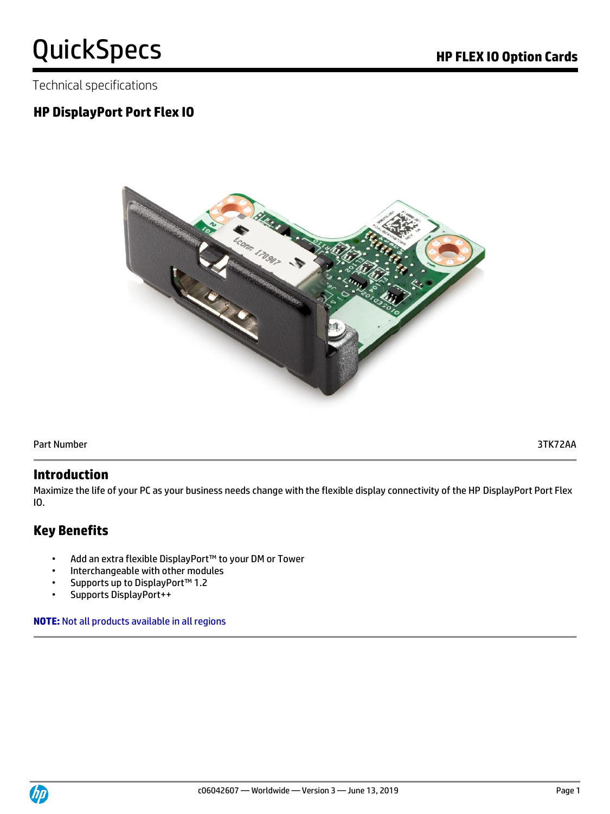Technical specifications

# **HP DisplayPort Port Flex IO**



Part Number 3TK72AA

### **Introduction**

Maximize the life of your PC as your business needs change with the flexible display connectivity of the HP DisplayPort Port Flex IO.

# **Key Benefits**

- Add an extra flexible DisplayPort™ to your DM or Tower
- Interchangeable with other modules
- Supports up to DisplayPort™ 1.2
- Supports DisplayPort++

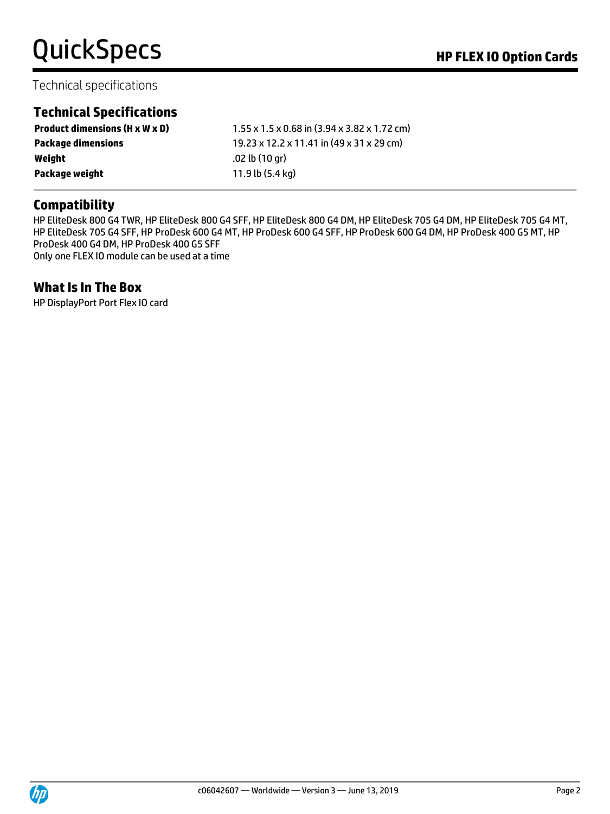# Technical specifications

# **Technical Specifications**

| $1.55 \times 1.5 \times 0.68$ in (3.94 x 3.82 x 1.72 cm) |
|----------------------------------------------------------|
| 19.23 x 12.2 x 11.41 in (49 x 31 x 29 cm)                |
| .02 lb (10 ar)                                           |
| 11.9 lb (5.4 kg)                                         |
|                                                          |

# **Compatibility**

HP EliteDesk 800 G4 TWR, HP EliteDesk 800 G4 SFF, HP EliteDesk 800 G4 DM, HP EliteDesk 705 G4 DM, HP EliteDesk 705 G4 MT, HP EliteDesk 705 G4 SFF, HP ProDesk 600 G4 MT, HP ProDesk 600 G4 SFF, HP ProDesk 600 G4 DM, HP ProDesk 400 G5 MT, HP ProDesk 400 G4 DM, HP ProDesk 400 G5 SFF Only one FLEX IO module can be used at a time

### **What Is In The Box**

HP DisplayPort Port Flex IO card

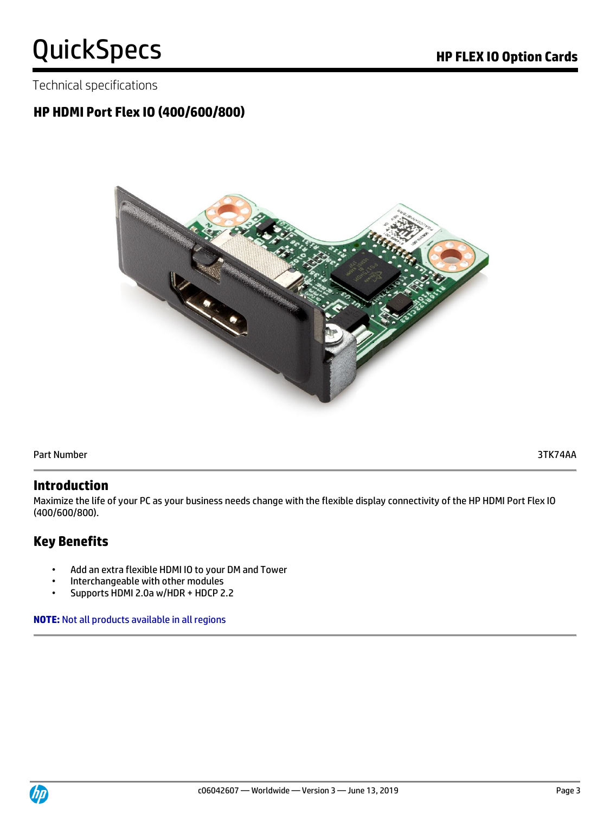Technical specifications

# **HP HDMI Port Flex IO (400/600/800)**



Part Number 3TK74AA

### **Introduction**

Maximize the life of your PC as your business needs change with the flexible display connectivity of the HP HDMI Port Flex IO (400/600/800).

# **Key Benefits**

- Add an extra flexible HDMI IO to your DM and Tower
- Interchangeable with other modules
- Supports HDMI 2.0a w/HDR + HDCP 2.2

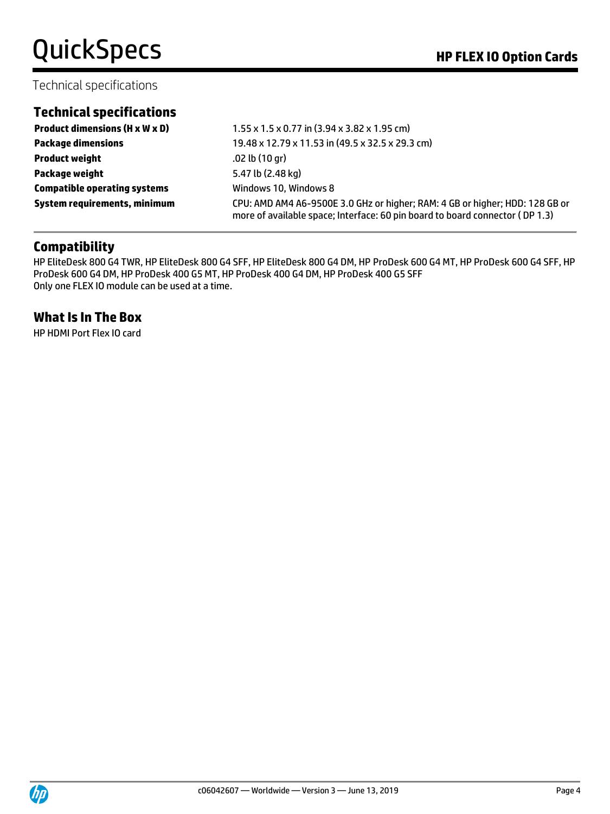# QuickSpecs **Manual Contract Contract Contract Contract Contract Contract Contract Contract Contract Contract Contract Contract Contract Contract Contract Contract Contract Contract Contract Contract Contract Contract Contr**

### Technical specifications

### **Technical specifications**

**Product weight** .02 lb (10 gr) **Package weight** 5.47 lb (2.48 kg) **Compatible operating systems** Windows 10, Windows 8

**Product dimensions (H x W x D)** 1.55 x 1.5 x 0.77 in (3.94 x 3.82 x 1.95 cm) **Package dimensions** 19.48 x 12.79 x 11.53 in (49.5 x 32.5 x 29.3 cm) **System requirements, minimum** CPU: AMD AM4 A6-9500E 3.0 GHz or higher; RAM: 4 GB or higher; HDD: 128 GB or more of available space; Interface: 60 pin board to board connector ( DP 1.3)

# **Compatibility**

HP EliteDesk 800 G4 TWR, HP EliteDesk 800 G4 SFF, HP EliteDesk 800 G4 DM, HP ProDesk 600 G4 MT, HP ProDesk 600 G4 SFF, HP ProDesk 600 G4 DM, HP ProDesk 400 G5 MT, HP ProDesk 400 G4 DM, HP ProDesk 400 G5 SFF Only one FLEX IO module can be used at a time.

### **What Is In The Box**

HP HDMI Port Flex IO card

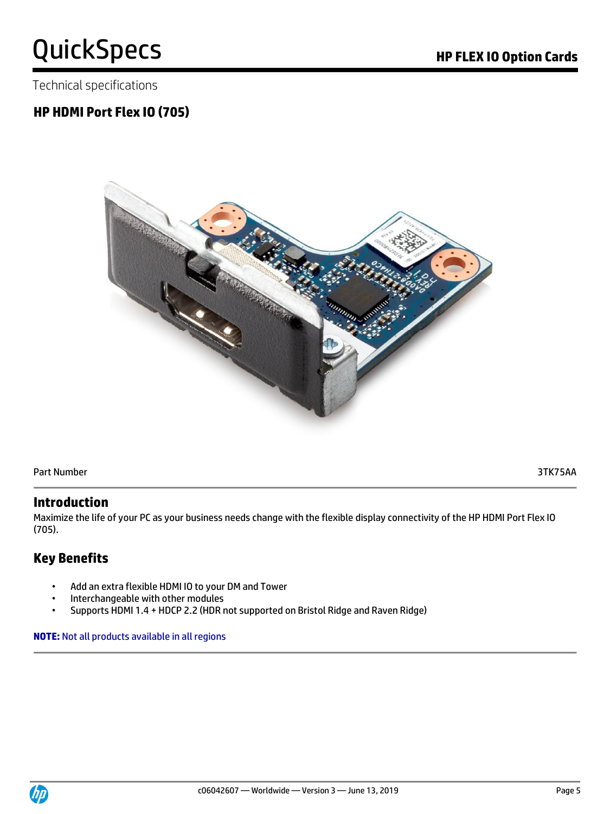Technical specifications

# **HP HDMI Port Flex IO (705)**



Part Number 3TK75AA

### **Introduction**

Maximize the life of your PC as your business needs change with the flexible display connectivity of the HP HDMI Port Flex IO (705).

# **Key Benefits**

- Add an extra flexible HDMI IO to your DM and Tower
- Interchangeable with other modules
- Supports HDMI 1.4 + HDCP 2.2 (HDR not supported on Bristol Ridge and Raven Ridge)

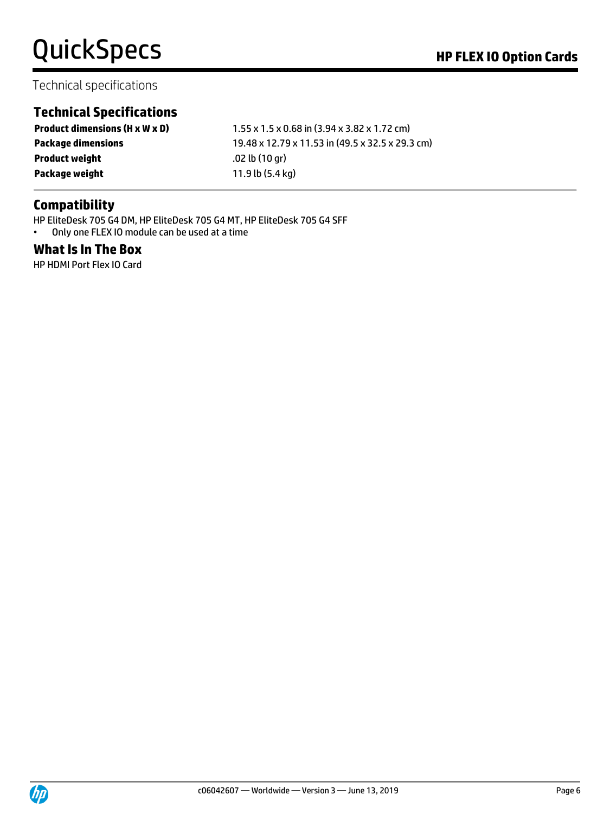### Technical specifications

# **Technical Specifications**

**Product dimensions (H x W x D)** 1.55 x 1.5 x 0.68 in (3.94 x 3.82 x 1.72 cm) **Package dimensions** 19.48 x 12.79 x 11.53 in (49.5 x 32.5 x 29.3 cm) **Product weight** .02 lb (10 gr) **Package weight** 11.9 lb (5.4 kg)

# **Compatibility**

HP EliteDesk 705 G4 DM, HP EliteDesk 705 G4 MT, HP EliteDesk 705 G4 SFF

• Only one FLEX IO module can be used at a time

### **What Is In The Box**

HP HDMI Port Flex IO Card

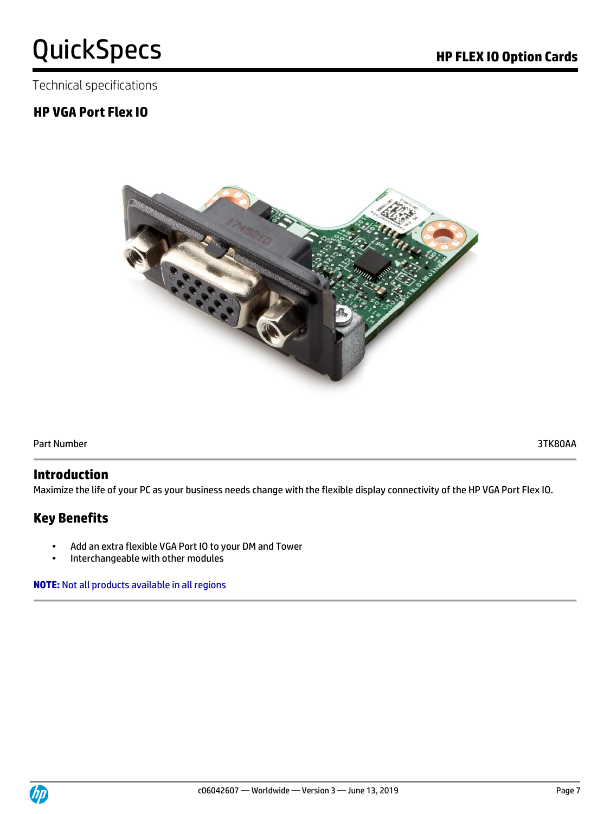Technical specifications

# **HP VGA Port Flex IO**



Part Number 3TK80AA

#### **Introduction**

Maximize the life of your PC as your business needs change with the flexible display connectivity of the HP VGA Port Flex IO.

# **Key Benefits**

- Add an extra flexible VGA Port IO to your DM and Tower
- Interchangeable with other modules

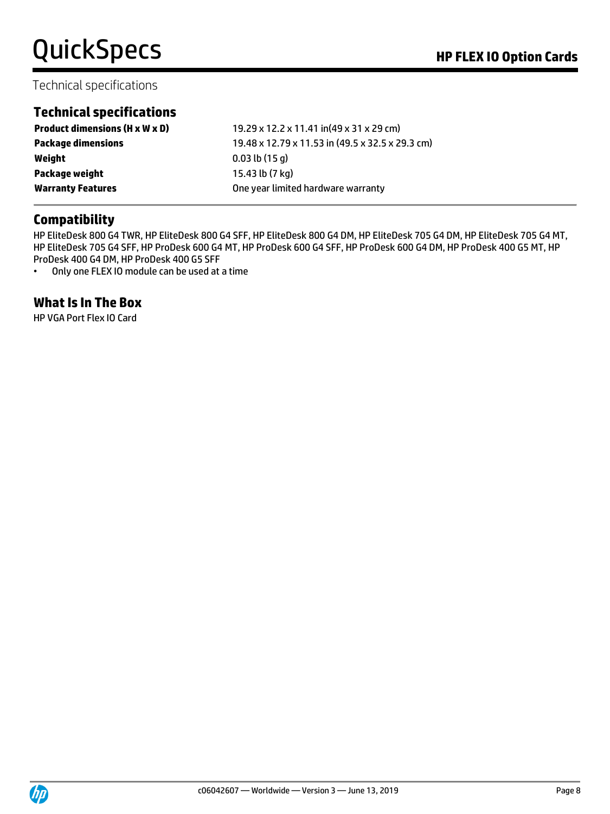# Technical specifications

# **Technical specifications**

| <b>Product dimensions (H x W x D)</b> | 19.29 x 12.2 x 11.41 in(49 x 31 x 29 cm)         |
|---------------------------------------|--------------------------------------------------|
| <b>Package dimensions</b>             | 19.48 x 12.79 x 11.53 in (49.5 x 32.5 x 29.3 cm) |
| Weight                                | $0.03$ lb $(15q)$                                |
| Package weight                        | 15.43 lb (7 kg)                                  |
| <b>Warranty Features</b>              | One year limited hardware warranty               |

### **Compatibility**

HP EliteDesk 800 G4 TWR, HP EliteDesk 800 G4 SFF, HP EliteDesk 800 G4 DM, HP EliteDesk 705 G4 DM, HP EliteDesk 705 G4 MT, HP EliteDesk 705 G4 SFF, HP ProDesk 600 G4 MT, HP ProDesk 600 G4 SFF, HP ProDesk 600 G4 DM, HP ProDesk 400 G5 MT, HP ProDesk 400 G4 DM, HP ProDesk 400 G5 SFF

• Only one FLEX IO module can be used at a time

### **What Is In The Box**

HP VGA Port Flex IO Card

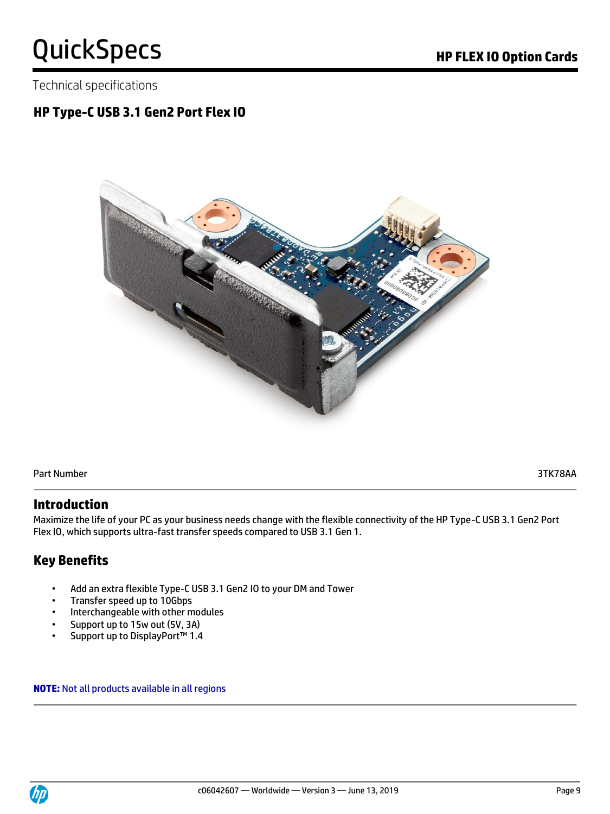Technical specifications

# **HP Type-C USB 3.1 Gen2 Port Flex IO**



Part Number 3TK78AA

### **Introduction**

Maximize the life of your PC as your business needs change with the flexible connectivity of the HP Type-C USB 3.1 Gen2 Port Flex IO, which supports ultra-fast transfer speeds compared to USB 3.1 Gen 1.

# **Key Benefits**

- Add an extra flexible Type-C USB 3.1 Gen2 IO to your DM and Tower
- Transfer speed up to 10Gbps
- Interchangeable with other modules
- Support up to 15w out (5V, 3A)
- Support up to DisplayPort™ 1.4

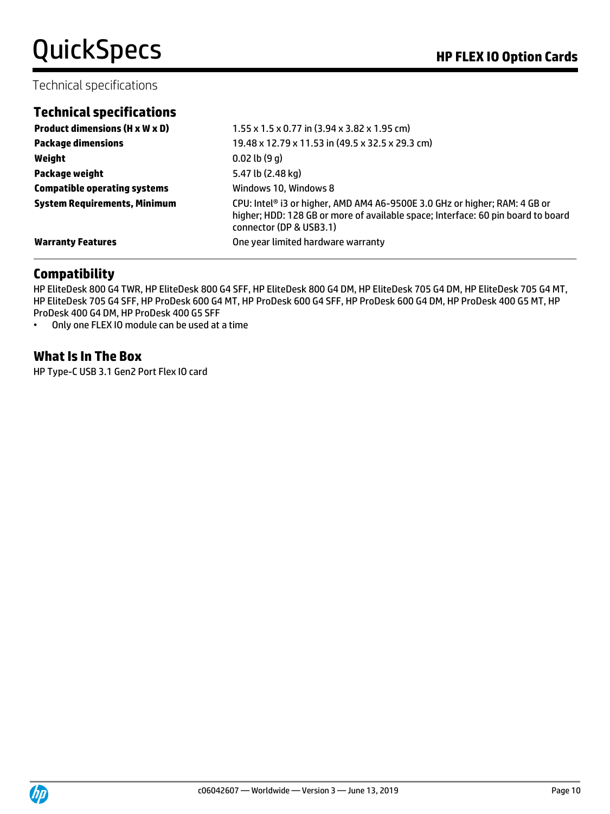### Technical specifications

|  | <b>Technical specifications</b> |  |
|--|---------------------------------|--|
|  |                                 |  |

| <b>Product dimensions (H x W x D)</b> | $1.55 \times 1.5 \times 0.77$ in (3.94 x 3.82 x 1.95 cm)                                                                                                                                  |
|---------------------------------------|-------------------------------------------------------------------------------------------------------------------------------------------------------------------------------------------|
| <b>Package dimensions</b>             | 19.48 x 12.79 x 11.53 in (49.5 x 32.5 x 29.3 cm)                                                                                                                                          |
| Weight                                | $0.02$ lb $(9q)$                                                                                                                                                                          |
| Package weight                        | 5.47 lb (2.48 kg)                                                                                                                                                                         |
| <b>Compatible operating systems</b>   | Windows 10, Windows 8                                                                                                                                                                     |
| <b>System Requirements, Minimum</b>   | CPU: Intel® i3 or higher, AMD AM4 A6-9500E 3.0 GHz or higher; RAM: 4 GB or<br>higher; HDD: 128 GB or more of available space; Interface: 60 pin board to board<br>connector (DP & USB3.1) |
| <b>Warranty Features</b>              | One year limited hardware warranty                                                                                                                                                        |

# **Compatibility**

HP EliteDesk 800 G4 TWR, HP EliteDesk 800 G4 SFF, HP EliteDesk 800 G4 DM, HP EliteDesk 705 G4 DM, HP EliteDesk 705 G4 MT, HP EliteDesk 705 G4 SFF, HP ProDesk 600 G4 MT, HP ProDesk 600 G4 SFF, HP ProDesk 600 G4 DM, HP ProDesk 400 G5 MT, HP ProDesk 400 G4 DM, HP ProDesk 400 G5 SFF

• Only one FLEX IO module can be used at a time

### **What Is In The Box**

HP Type-C USB 3.1 Gen2 Port Flex IO card

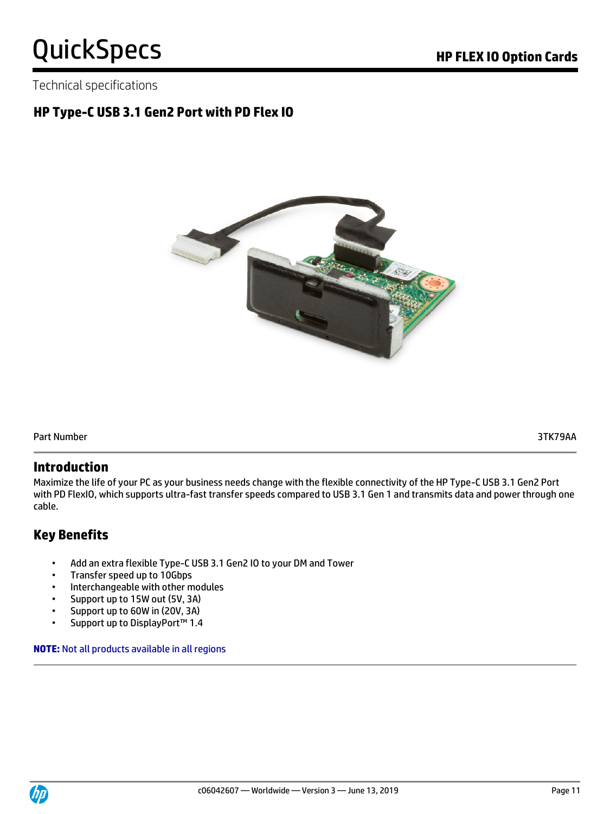Technical specifications

# **HP Type-C USB 3.1 Gen2 Port with PD Flex IO**



Part Number 3TK79AA

### **Introduction**

Maximize the life of your PC as your business needs change with the flexible connectivity of the HP Type-C USB 3.1 Gen2 Port with PD FlexIO, which supports ultra-fast transfer speeds compared to USB 3.1 Gen 1 and transmits data and power through one cable.

# **Key Benefits**

- Add an extra flexible Type-C USB 3.1 Gen2 IO to your DM and Tower
- Transfer speed up to 10Gbps
- Interchangeable with other modules
- Support up to 15W out (5V, 3A)
- Support up to 60W in (20V, 3A)
- Support up to DisplayPort™ 1.4

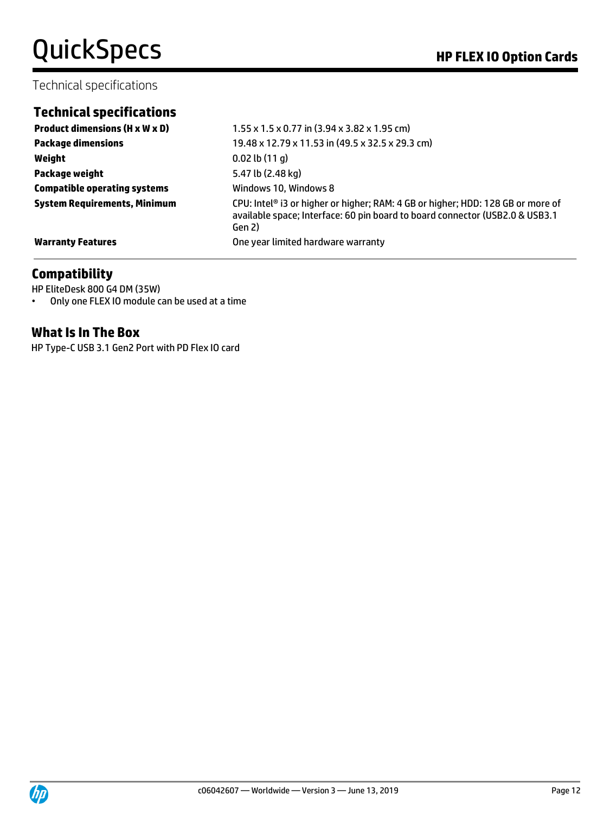# QuickSpecs **Manual Contract Contract Contract Contract Contract Contract Contract Contract Contract Contract Contract Contract Contract Contract Contract Contract Contract Contract Contract Contract Contract Contract Contr**

### Technical specifications

### **Technical specifications**

**Weight** 0.02 lb (11 g) **Package weight** 5.47 lb (2.48 kg) **Compatible operating systems Windows 10, Windows 8** 

**Product dimensions (H x W x D)**  $1.55 \times 1.5 \times 0.77$  in (3.94 x 3.82 x 1.95 cm) **Package dimensions** 19.48 x 12.79 x 11.53 in (49.5 x 32.5 x 29.3 cm) **System Requirements, Minimum** CPU: Intel® i3 or higher or higher; RAM: 4 GB or higher; HDD: 128 GB or more of available space; Interface: 60 pin board to board connector (USB2.0 & USB3.1 Gen 2) **Warranty Features Warranty Features One year limited hardware warranty** 

### **Compatibility**

HP EliteDesk 800 G4 DM (35W) • Only one FLEX IO module can be used at a time

### **What Is In The Box**

HP Type-C USB 3.1 Gen2 Port with PD Flex IO card

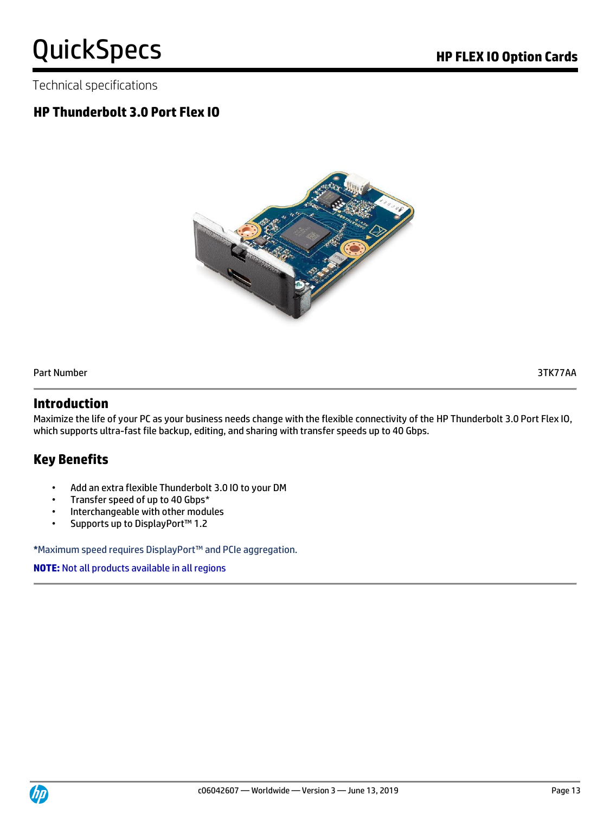Technical specifications

# **HP Thunderbolt 3.0 Port Flex IO**



Part Number 3TK77AA

### **Introduction**

Maximize the life of your PC as your business needs change with the flexible connectivity of the HP Thunderbolt 3.0 Port Flex IO, which supports ultra-fast file backup, editing, and sharing with transfer speeds up to 40 Gbps.

# **Key Benefits**

- Add an extra flexible Thunderbolt 3.0 IO to your DM
- Transfer speed of up to 40 Gbps\*
- Interchangeable with other modules
- Supports up to DisplayPort™ 1.2

**\***Maximum speed requires DisplayPort™ and PCIe aggregation.

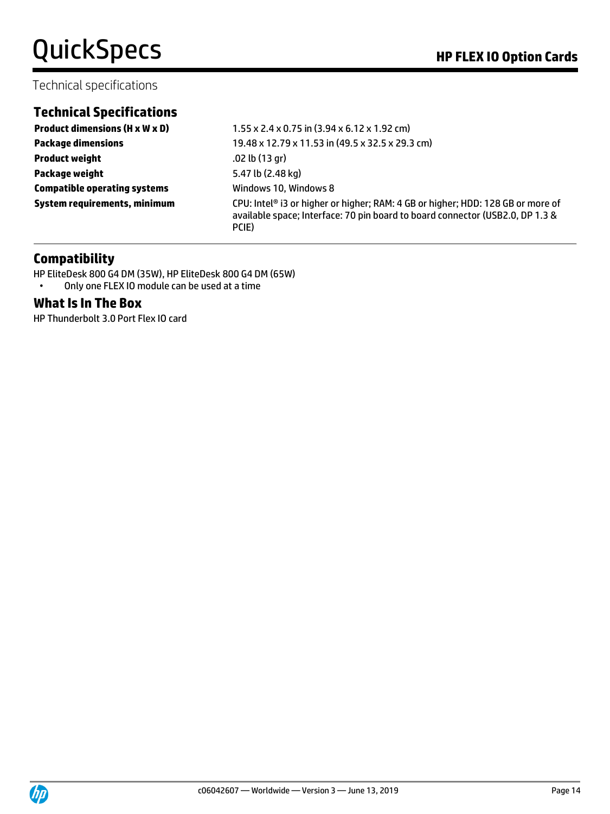# QuickSpecs **Manual Contract Contract Contract Contract Contract Contract Contract Contract Contract Contract Contract Contract Contract Contract Contract Contract Contract Contract Contract Contract Contract Contract Contr**

### Technical specifications

# **Technical Specifications**

**Product weight** .02 lb (13 gr) **Package weight** 5.47 lb (2.48 kg) **Compatible operating systems** Windows 10, Windows 8

**Product dimensions (H x W x D)**  $1.55 \times 2.4 \times 0.75$  in (3.94 x 6.12 x 1.92 cm) **Package dimensions** 19.48 x 12.79 x 11.53 in (49.5 x 32.5 x 29.3 cm) **System requirements, minimum** CPU: Intel<sup>®</sup> i3 or higher or higher; RAM: 4 GB or higher; HDD: 128 GB or more of available space; Interface: 70 pin board to board connector (USB2.0, DP 1.3 & PCIE)

### **Compatibility**

HP EliteDesk 800 G4 DM (35W), HP EliteDesk 800 G4 DM (65W) • Only one FLEX IO module can be used at a time

#### **What Is In The Box**

HP Thunderbolt 3.0 Port Flex IO card

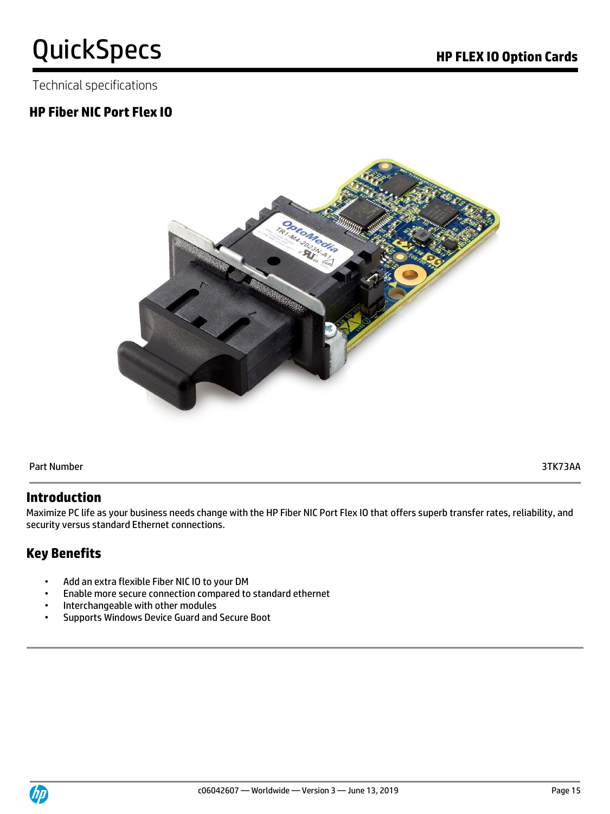Technical specifications

# **HP Fiber NIC Port Flex IO**



Part Number 3TK73AA

### **Introduction**

Maximize PC life as your business needs change with the HP Fiber NIC Port Flex IO that offers superb transfer rates, reliability, and security versus standard Ethernet connections.

# **Key Benefits**

- Add an extra flexible Fiber NIC IO to your DM
- Enable more secure connection compared to standard ethernet
- Interchangeable with other modules
- Supports Windows Device Guard and Secure Boot

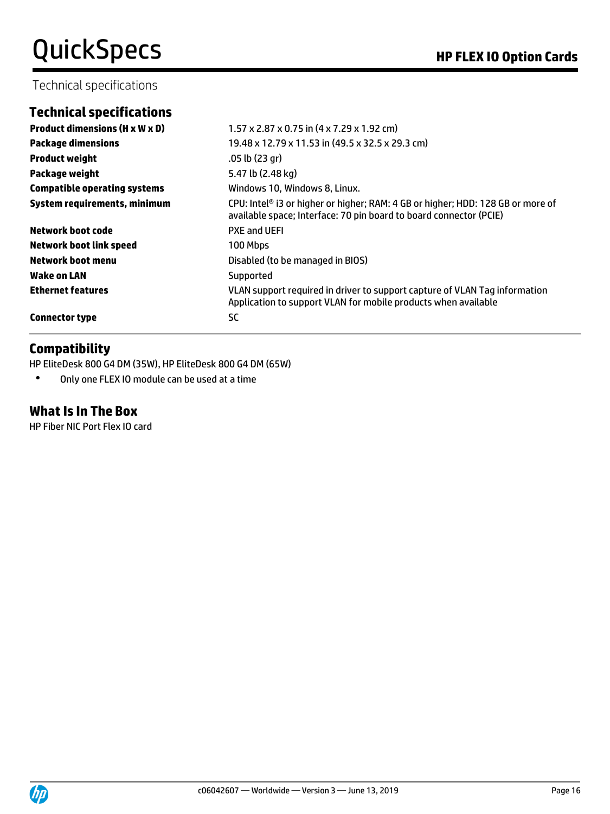### Technical specifications

# **Technical specifications**

| <b>Product dimensions (H x W x D)</b> | $1.57 \times 2.87 \times 0.75$ in $(4 \times 7.29 \times 1.92$ cm)                                                                                    |
|---------------------------------------|-------------------------------------------------------------------------------------------------------------------------------------------------------|
| <b>Package dimensions</b>             | 19.48 x 12.79 x 11.53 in (49.5 x 32.5 x 29.3 cm)                                                                                                      |
| <b>Product weight</b>                 | .05 lb (23 gr)                                                                                                                                        |
| Package weight                        | 5.47 lb (2.48 kg)                                                                                                                                     |
| <b>Compatible operating systems</b>   | Windows 10, Windows 8, Linux.                                                                                                                         |
| System requirements, minimum          | CPU: Intel® i3 or higher or higher; RAM: 4 GB or higher; HDD: 128 GB or more of<br>available space; Interface: 70 pin board to board connector (PCIE) |
| Network boot code                     | <b>PXE and UEFI</b>                                                                                                                                   |
| <b>Network boot link speed</b>        | 100 Mbps                                                                                                                                              |
| <b>Network boot menu</b>              | Disabled (to be managed in BIOS)                                                                                                                      |
| Wake on LAN                           | Supported                                                                                                                                             |
| <b>Ethernet features</b>              | VLAN support required in driver to support capture of VLAN Tag information<br>Application to support VLAN for mobile products when available          |
| <b>Connector type</b>                 | <b>SC</b>                                                                                                                                             |

### **Compatibility**

HP EliteDesk 800 G4 DM (35W), HP EliteDesk 800 G4 DM (65W)

• Only one FLEX IO module can be used at a time

# **What Is In The Box**

HP Fiber NIC Port Flex IO card

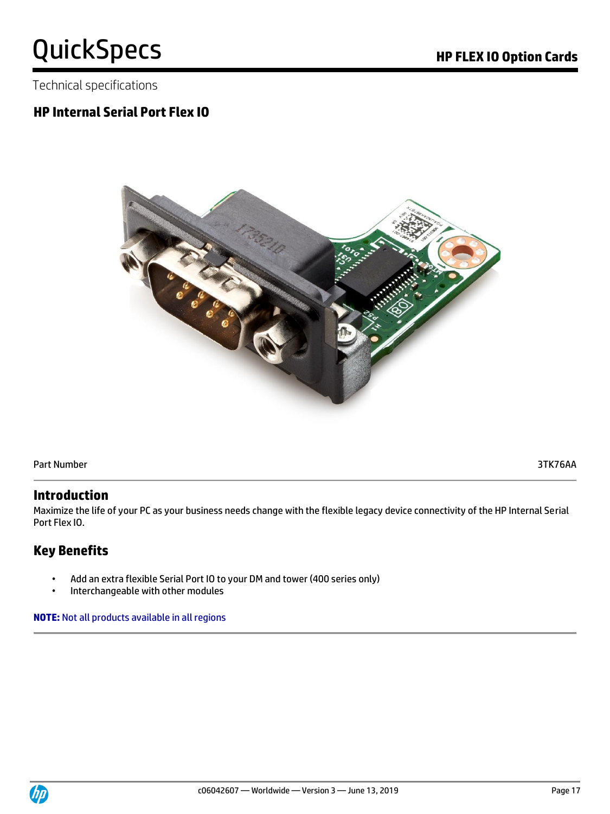Technical specifications

# **HP Internal Serial Port Flex IO**



Part Number 3TK76AA

### **Introduction**

Maximize the life of your PC as your business needs change with the flexible legacy device connectivity of the HP Internal Serial Port Flex IO.

# **Key Benefits**

- Add an extra flexible Serial Port IO to your DM and tower (400 series only)
- Interchangeable with other modules

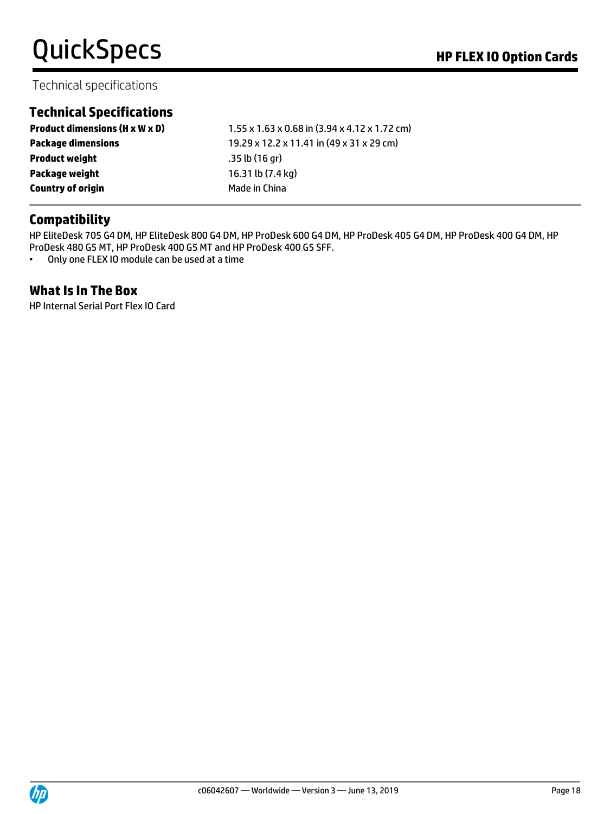# Technical specifications

# **Technical Specifications**

| <b>Product dimensions (H x W x D)</b> | $1.55 \times 1.63 \times 0.68$ in (3.94 x 4.12 x 1.72 cm) |
|---------------------------------------|-----------------------------------------------------------|
| <b>Package dimensions</b>             | 19.29 x 12.2 x 11.41 in (49 x 31 x 29 cm)                 |
| <b>Product weight</b>                 | .35 lb(16 gr)                                             |
| Package weight                        | 16.31 lb (7.4 kg)                                         |
| <b>Country of origin</b>              | Made in China                                             |

### **Compatibility**

HP EliteDesk 705 G4 DM, HP EliteDesk 800 G4 DM, HP ProDesk 600 G4 DM, HP ProDesk 405 G4 DM, HP ProDesk 400 G4 DM, HP ProDesk 480 G5 MT, HP ProDesk 400 G5 MT and HP ProDesk 400 G5 SFF.

• Only one FLEX IO module can be used at a time

### **What Is In The Box**

HP Internal Serial Port Flex IO Card